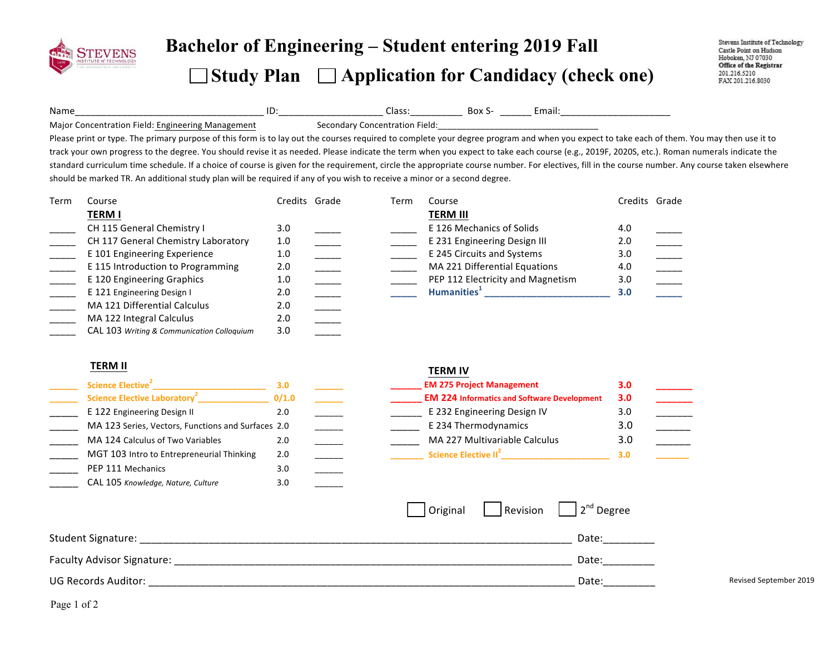

# **Bachelor of Engineering – Student entering <sup>201</sup><sup>9</sup> Fall**

**Study Plan Application for Candidacy (check one)** 

Stevens Institute of Technology Castle Point on Hudson Hoboken, NJ 07030 Office of the Registrar 201.216.5210 FAX 201.216.8030

Name\_\_\_\_\_\_\_\_\_\_\_\_\_\_\_\_\_\_\_\_\_\_\_\_\_\_\_\_\_\_\_\_\_\_\_\_!ID:\_\_\_\_\_\_\_\_\_\_\_\_\_\_\_\_\_\_\_\_!Class:\_\_\_\_\_\_\_\_\_\_!!Box!S- \_\_\_\_\_\_!Email:\_\_\_\_\_\_\_\_\_\_\_\_\_\_\_\_\_\_\_\_\_!Major Concentration Field: Engineering Management Secondary Concentration Field:

Please print or type. The primary purpose of this form is to lay out the courses required to complete your degree program and when you expect to take each of them. You may then use it to track your own progress to the degree. You should revise it as needed. Please indicate the term when you expect to take each course (e.g., 2019F, 2020S, etc.). Roman numerals indicate the standard curriculum time schedule. If a choice of course is given for the requirement, circle the appropriate course number. For electives, fill in the course number. Any course taken elsewhere should be marked TR. An additional study plan will be required if any of you wish to receive a minor or a second degree.

| Term | Course                                     | Credits Grade | Term | Course                            | Credits Grade |  |
|------|--------------------------------------------|---------------|------|-----------------------------------|---------------|--|
|      | <b>TERM I</b>                              |               |      | <b>TERM III</b>                   |               |  |
|      | CH 115 General Chemistry I                 | 3.0           |      | E 126 Mechanics of Solids         | 4.0           |  |
|      | CH 117 General Chemistry Laboratory        | 1.0           |      | E 231 Engineering Design III      | 2.0           |  |
|      | E 101 Engineering Experience               | 1.0           |      | E 245 Circuits and Systems        | 3.0           |  |
|      | E 115 Introduction to Programming          | 2.0           |      | MA 221 Differential Equations     | 4.0           |  |
|      | E 120 Engineering Graphics                 | 1.0           |      | PEP 112 Electricity and Magnetism | 3.0           |  |
|      | E 121 Engineering Design I                 | 2.0           |      | Humanities <sup>+</sup>           | 3.0           |  |
|      | MA 121 Differential Calculus               | 2.0           |      |                                   |               |  |
|      | MA 122 Integral Calculus                   | 2.0           |      |                                   |               |  |
|      | CAL 103 Writing & Communication Colloquium | 3.0           |      |                                   |               |  |

### **TERM%II%**

| Science Elective <sup>2</sup>                      | 3.0   |  |
|----------------------------------------------------|-------|--|
| Science Elective Laboratory <sup>2</sup>           | 0/1.0 |  |
| E 122 Engineering Design II                        | 2.0   |  |
| MA 123 Series, Vectors, Functions and Surfaces 2.0 |       |  |
| MA 124 Calculus of Two Variables                   | 2.0   |  |
| MGT 103 Intro to Entrepreneurial Thinking          | 2.0   |  |
| PEP 111 Mechanics                                  | 3.0   |  |
| CAL 105 Knowledge, Nature, Culture                 | 3.0   |  |

#### **TERM%IV**

| Science Elective <sup>2</sup>                      |       |  | <b>EM 275 Project Management</b>                   | 3.0 |  |
|----------------------------------------------------|-------|--|----------------------------------------------------|-----|--|
| Science Elective Laboratory <sup>2</sup>           | 0/1.0 |  | <b>EM 224 Informatics and Software Development</b> | 3.0 |  |
| E 122 Engineering Design II                        | 2.0   |  | E 232 Engineering Design IV                        | 3.C |  |
| MA 123 Series, Vectors, Functions and Surfaces 2.0 |       |  | E 234 Thermodynamics                               | 3.C |  |
| MA 124 Calculus of Two Variables                   | 2.0   |  | MA 227 Multivariable Calculus                      | 3.C |  |
| MGT 103 Intro to Entrepreneurial Thinking          | 2.0   |  | Science Elective II <sup>2</sup>                   | 3.0 |  |

|                            | Original | $\vert$ Revision $\vert$ 2 <sup>nd</sup> Degree |                        |
|----------------------------|----------|-------------------------------------------------|------------------------|
| Student Signature:         |          | Date:                                           |                        |
| Faculty Advisor Signature: |          | Date:                                           |                        |
| UG Records Auditor:        |          | Date:                                           | Revised September 2019 |